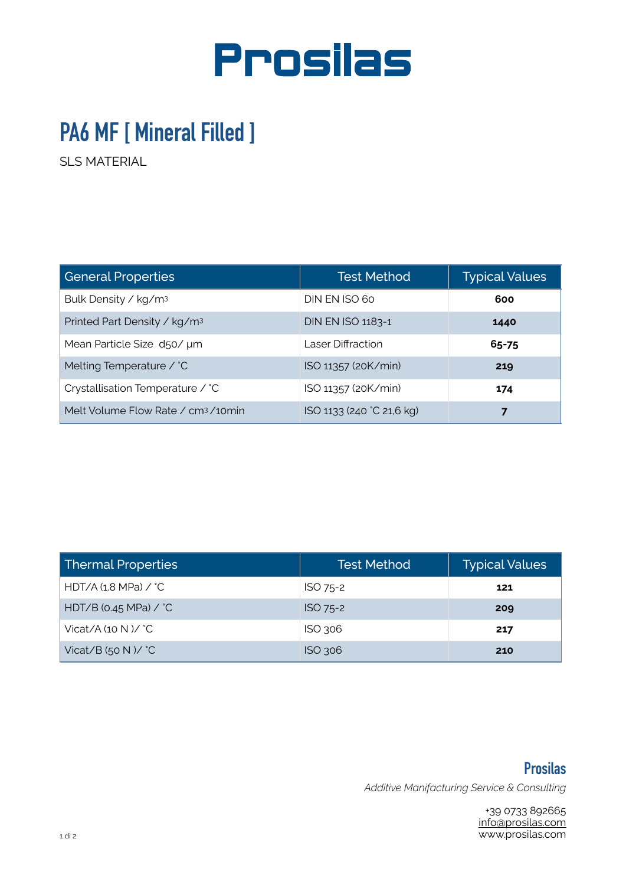

## **PA6 MF [ Mineral Filled ]**

SLS MATERIAL

| <b>General Properties</b>                      | <b>Test Method</b>        | <b>Typical Values</b> |  |
|------------------------------------------------|---------------------------|-----------------------|--|
| Bulk Density / kg/m <sup>3</sup>               | DIN EN ISO 60             | 600                   |  |
| Printed Part Density / kg/m <sup>3</sup>       | DIN EN ISO 1183-1         | 1440                  |  |
| Mean Particle Size d50/ µm                     | Laser Diffraction         | 65-75                 |  |
| Melting Temperature / °C                       | ISO 11357 (20K/min)       | 219                   |  |
| Crystallisation Temperature / °C               | ISO 11357 (20K/min)       | 174                   |  |
| Melt Volume Flow Rate / cm <sup>3</sup> /10min | ISO 1133 (240 °C 21,6 kg) |                       |  |

| Thermal Properties             | <b>Test Method</b> | <b>Typical Values</b> |  |
|--------------------------------|--------------------|-----------------------|--|
| HDT/A (1.8 MPa) / $^{\circ}$ C | ISO 75-2           | 121                   |  |
| HDT/B (0.45 MPa) $\angle$ °C   | ISO 75-2           | 209                   |  |
| Vicat/A (10 N )/ $^{\circ}$ C  | $ISO$ 306          | 217                   |  |
| Vicat/B (50 N )/ $^{\circ}$ C  | $ISO$ 306          | 210                   |  |

**Prosilas**  *Additive Manifacturing Service & Consulting* 

> +39 0733 892665 [info@prosilas.com](mailto:info@prosilas.com) www.prosilas.com